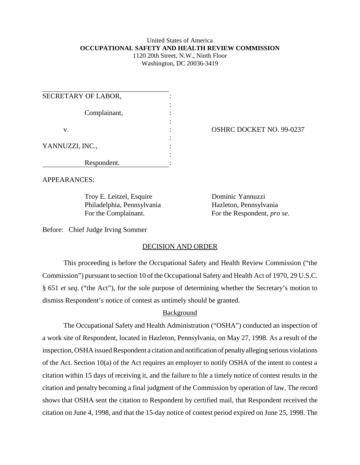#### United States of America **OCCUPATIONAL SAFETY AND HEALTH REVIEW COMMISSION** 1120 20th Street, N.W., Ninth Floor

Washington, DC 20036-3419

| SECRETARY OF LABOR, |  |
|---------------------|--|
| Complainant,        |  |
| V.                  |  |
| YANNUZZI, INC.,     |  |
|                     |  |
| Respondent.         |  |

OSHRC DOCKET NO. 99-0237

APPEARANCES:

Troy E. Leitzel, Esquire Dominic Yannuzzi Philadelphia, Pennsylvania Hazleton, Pennsylvania

For the Complainant. For the Respondent, *pro se*.

Before: Chief Judge Irving Sommer

## DECISION AND ORDER

This proceeding is before the Occupational Safety and Health Review Commission ("the Commission") pursuant to section 10 of the Occupational Safety and Health Act of 1970, 29 U.S.C. § 651 *et seq*. ("the Act"), for the sole purpose of determining whether the Secretary's motion to dismiss Respondent's notice of contest as untimely should be granted.

## **Background**

The Occupational Safety and Health Administration ("OSHA") conducted an inspection of a work site of Respondent, located in Hazleton, Pennsylvania, on May 27, 1998. As a result of the inspection, OSHA issued Respondent a citation and notification of penalty alleging serious violations of the Act. Section 10(a) of the Act requires an employer to notify OSHA of the intent to contest a citation within 15 days of receiving it, and the failure to file a timely notice of contest results in the citation and penalty becoming a final judgment of the Commission by operation of law. The record shows that OSHA sent the citation to Respondent by certified mail, that Respondent received the citation on June 4, 1998, and that the 15-day notice of contest period expired on June 25, 1998. The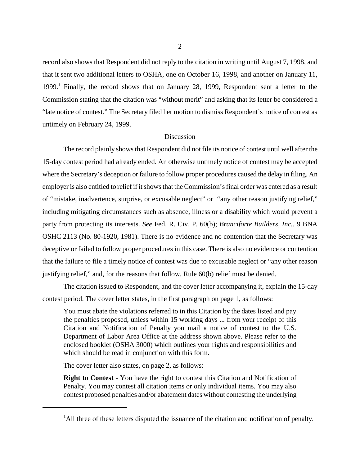record also shows that Respondent did not reply to the citation in writing until August 7, 1998, and that it sent two additional letters to OSHA, one on October 16, 1998, and another on January 11, 1999.<sup>1</sup> Finally, the record shows that on January 28, 1999, Respondent sent a letter to the Commission stating that the citation was "without merit" and asking that its letter be considered a "late notice of contest." The Secretary filed her motion to dismiss Respondent's notice of contest as untimely on February 24, 1999.

#### Discussion

The record plainly shows that Respondent did not file its notice of contest until well after the 15-day contest period had already ended. An otherwise untimely notice of contest may be accepted where the Secretary's deception or failure to follow proper procedures caused the delay in filing. An employer is also entitled to relief if it shows that the Commission's final order was entered as a result of "mistake, inadvertence, surprise, or excusable neglect" or "any other reason justifying relief," including mitigating circumstances such as absence, illness or a disability which would prevent a party from protecting its interests. *See* Fed. R. Civ. P. 60(b); *Branciforte Builders, Inc.*, 9 BNA OSHC 2113 (No. 80-1920, 1981). There is no evidence and no contention that the Secretary was deceptive or failed to follow proper procedures in this case. There is also no evidence or contention that the failure to file a timely notice of contest was due to excusable neglect or "any other reason justifying relief," and, for the reasons that follow, Rule 60(b) relief must be denied.

The citation issued to Respondent, and the cover letter accompanying it, explain the 15-day contest period. The cover letter states, in the first paragraph on page 1, as follows:

You must abate the violations referred to in this Citation by the dates listed and pay the penalties proposed, unless within 15 working days ... from your receipt of this Citation and Notification of Penalty you mail a notice of contest to the U.S. Department of Labor Area Office at the address shown above. Please refer to the enclosed booklet (OSHA 3000) which outlines your rights and responsibilities and which should be read in conjunction with this form.

The cover letter also states, on page 2, as follows:

**Right to Contest** - You have the right to contest this Citation and Notification of Penalty. You may contest all citation items or only individual items. You may also contest proposed penalties and/or abatement dates without contesting the underlying

<sup>&</sup>lt;sup>1</sup>All three of these letters disputed the issuance of the citation and notification of penalty.